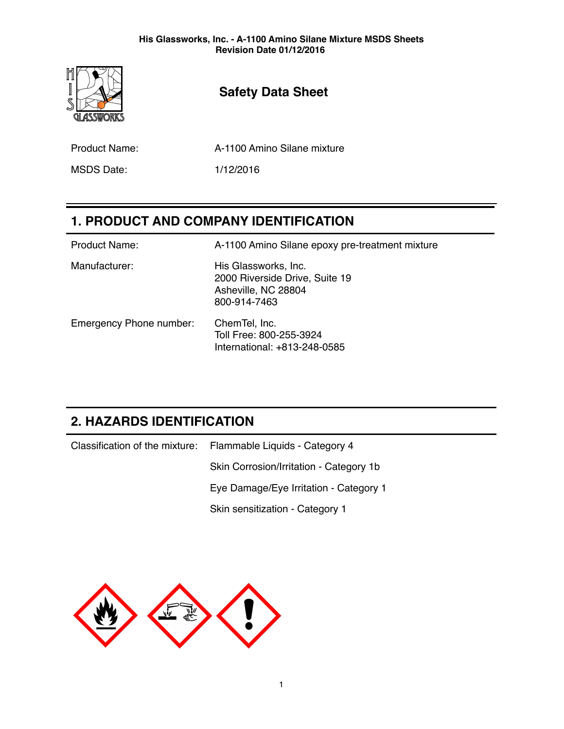

# **Safety Data Sheet**

Product Name: A-1100 Amino Silane mixture

MSDS Date: 1/12/2016

# **1. PRODUCT AND COMPANY IDENTIFICATION**

| <b>Product Name:</b>    | A-1100 Amino Silane epoxy pre-treatment mixture                                               |
|-------------------------|-----------------------------------------------------------------------------------------------|
| Manufacturer:           | His Glassworks, Inc.<br>2000 Riverside Drive, Suite 19<br>Asheville, NC 28804<br>800-914-7463 |
| Emergency Phone number: | ChemTel, Inc.<br>Toll Free: 800-255-3924<br>International: +813-248-0585                      |

# **2. HAZARDS IDENTIFICATION**

| Classification of the mixture: Flammable Liquids - Category 4 |  |
|---------------------------------------------------------------|--|
| Skin Corrosion/Irritation - Category 1b                       |  |
| Eye Damage/Eye Irritation - Category 1                        |  |
| Skin sensitization - Category 1                               |  |

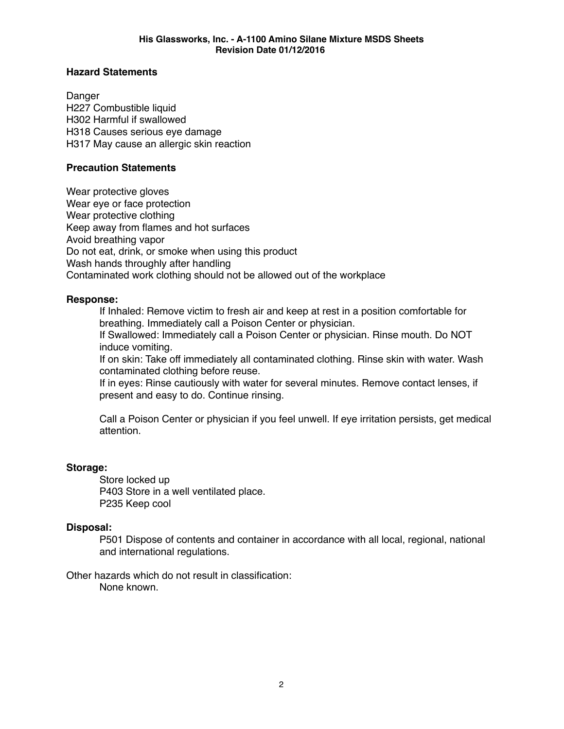### **Hazard Statements**

Danger H227 Combustible liquid H302 Harmful if swallowed H318 Causes serious eye damage H317 May cause an allergic skin reaction

### **Precaution Statements**

Wear protective gloves Wear eye or face protection Wear protective clothing Keep away from flames and hot surfaces Avoid breathing vapor Do not eat, drink, or smoke when using this product Wash hands throughly after handling Contaminated work clothing should not be allowed out of the workplace

### **Response:**

If Inhaled: Remove victim to fresh air and keep at rest in a position comfortable for breathing. Immediately call a Poison Center or physician.

If Swallowed: Immediately call a Poison Center or physician. Rinse mouth. Do NOT induce vomiting.

If on skin: Take off immediately all contaminated clothing. Rinse skin with water. Wash contaminated clothing before reuse.

If in eyes: Rinse cautiously with water for several minutes. Remove contact lenses, if present and easy to do. Continue rinsing.

Call a Poison Center or physician if you feel unwell. If eye irritation persists, get medical attention.

### **Storage:**

Store locked up P403 Store in a well ventilated place. P235 Keep cool

### **Disposal:**

P501 Dispose of contents and container in accordance with all local, regional, national and international regulations.

Other hazards which do not result in classification: None known.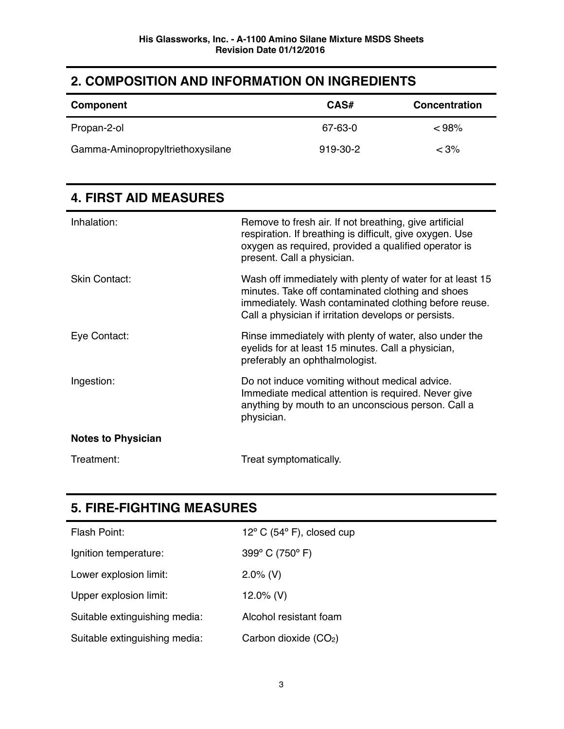### **2. COMPOSITION AND INFORMATION ON INGREDIENTS**

| Component                        | CAS#     | <b>Concentration</b> |
|----------------------------------|----------|----------------------|
| Propan-2-ol                      | 67-63-0  | $< 98\%$             |
| Gamma-Aminopropyltriethoxysilane | 919-30-2 | $< 3\%$              |

| Inhalation:               | Remove to fresh air. If not breathing, give artificial<br>respiration. If breathing is difficult, give oxygen. Use<br>oxygen as required, provided a qualified operator is<br>present. Call a physician.                        |
|---------------------------|---------------------------------------------------------------------------------------------------------------------------------------------------------------------------------------------------------------------------------|
| <b>Skin Contact:</b>      | Wash off immediately with plenty of water for at least 15<br>minutes. Take off contaminated clothing and shoes<br>immediately. Wash contaminated clothing before reuse.<br>Call a physician if irritation develops or persists. |
| Eye Contact:              | Rinse immediately with plenty of water, also under the<br>eyelids for at least 15 minutes. Call a physician,<br>preferably an ophthalmologist.                                                                                  |
| Ingestion:                | Do not induce vomiting without medical advice.<br>Immediate medical attention is required. Never give<br>anything by mouth to an unconscious person. Call a<br>physician.                                                       |
| <b>Notes to Physician</b> |                                                                                                                                                                                                                                 |
| Treatment:                | Treat symptomatically.                                                                                                                                                                                                          |

### **4. FIRST AID MEASURES**

# **5. FIRE-FIGHTING MEASURES**

| Flash Point:                  | $12^{\circ}$ C (54 $^{\circ}$ F), closed cup |
|-------------------------------|----------------------------------------------|
| Ignition temperature:         | 399 $\degree$ C (750 $\degree$ F)            |
| Lower explosion limit:        | $2.0\%$ (V)                                  |
| Upper explosion limit:        | 12.0% (V)                                    |
| Suitable extinguishing media: | Alcohol resistant foam                       |
| Suitable extinguishing media: | Carbon dioxide $(CO2)$                       |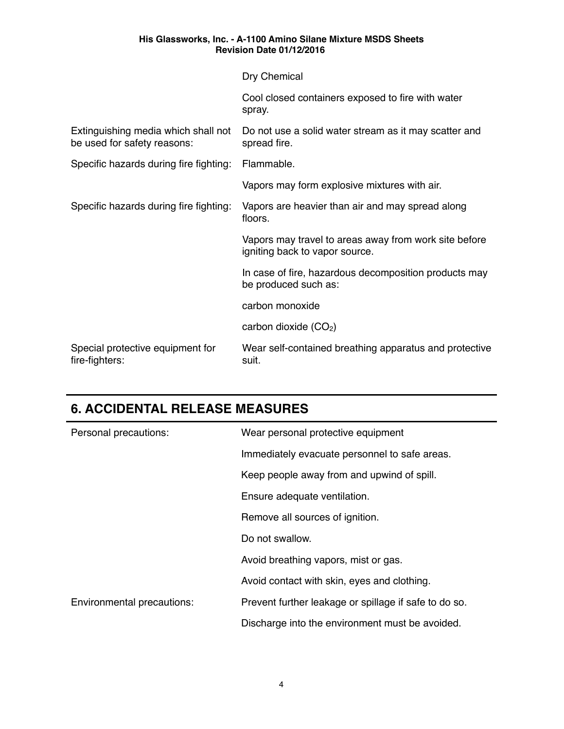|                                                                    | Dry Chemical                                                                            |
|--------------------------------------------------------------------|-----------------------------------------------------------------------------------------|
|                                                                    | Cool closed containers exposed to fire with water<br>spray.                             |
| Extinguishing media which shall not<br>be used for safety reasons: | Do not use a solid water stream as it may scatter and<br>spread fire.                   |
| Specific hazards during fire fighting:                             | Flammable.                                                                              |
|                                                                    | Vapors may form explosive mixtures with air.                                            |
| Specific hazards during fire fighting:                             | Vapors are heavier than air and may spread along<br>floors.                             |
|                                                                    | Vapors may travel to areas away from work site before<br>igniting back to vapor source. |
|                                                                    | In case of fire, hazardous decomposition products may<br>be produced such as:           |
|                                                                    | carbon monoxide                                                                         |
|                                                                    | carbon dioxide $(CO2)$                                                                  |
| Special protective equipment for<br>fire-fighters:                 | Wear self-contained breathing apparatus and protective<br>suit.                         |

# **6. ACCIDENTAL RELEASE MEASURES**

| Personal precautions:      | Wear personal protective equipment                    |  |
|----------------------------|-------------------------------------------------------|--|
|                            | Immediately evacuate personnel to safe areas.         |  |
|                            | Keep people away from and upwind of spill.            |  |
|                            | Ensure adequate ventilation.                          |  |
|                            | Remove all sources of ignition.                       |  |
|                            | Do not swallow.                                       |  |
|                            | Avoid breathing vapors, mist or gas.                  |  |
|                            | Avoid contact with skin, eyes and clothing.           |  |
| Environmental precautions: | Prevent further leakage or spillage if safe to do so. |  |
|                            | Discharge into the environment must be avoided.       |  |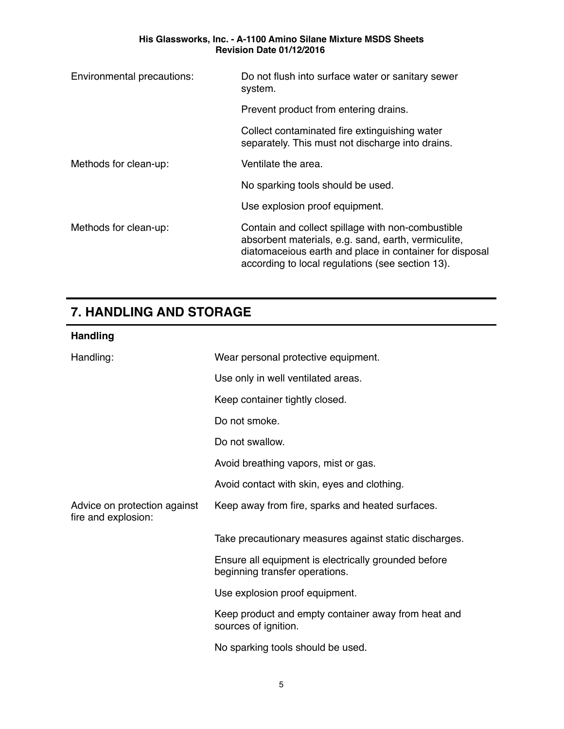| Environmental precautions: | Do not flush into surface water or sanitary sewer<br>system.                                                                                                                                                            |  |
|----------------------------|-------------------------------------------------------------------------------------------------------------------------------------------------------------------------------------------------------------------------|--|
|                            | Prevent product from entering drains.                                                                                                                                                                                   |  |
|                            | Collect contaminated fire extinguishing water<br>separately. This must not discharge into drains.                                                                                                                       |  |
| Methods for clean-up:      | Ventilate the area.                                                                                                                                                                                                     |  |
|                            | No sparking tools should be used.                                                                                                                                                                                       |  |
|                            | Use explosion proof equipment.                                                                                                                                                                                          |  |
| Methods for clean-up:      | Contain and collect spillage with non-combustible<br>absorbent materials, e.g. sand, earth, vermiculite,<br>diatomaceious earth and place in container for disposal<br>according to local regulations (see section 13). |  |

# **7. HANDLING AND STORAGE**

| <b>Handling</b>                                     |                                                                                        |
|-----------------------------------------------------|----------------------------------------------------------------------------------------|
| Handling:                                           | Wear personal protective equipment.                                                    |
|                                                     | Use only in well ventilated areas.                                                     |
|                                                     | Keep container tightly closed.                                                         |
|                                                     | Do not smoke.                                                                          |
|                                                     | Do not swallow.                                                                        |
|                                                     | Avoid breathing vapors, mist or gas.                                                   |
|                                                     | Avoid contact with skin, eyes and clothing.                                            |
| Advice on protection against<br>fire and explosion: | Keep away from fire, sparks and heated surfaces.                                       |
|                                                     | Take precautionary measures against static discharges.                                 |
|                                                     | Ensure all equipment is electrically grounded before<br>beginning transfer operations. |
|                                                     | Use explosion proof equipment.                                                         |
|                                                     | Keep product and empty container away from heat and<br>sources of ignition.            |
|                                                     | No sparking tools should be used.                                                      |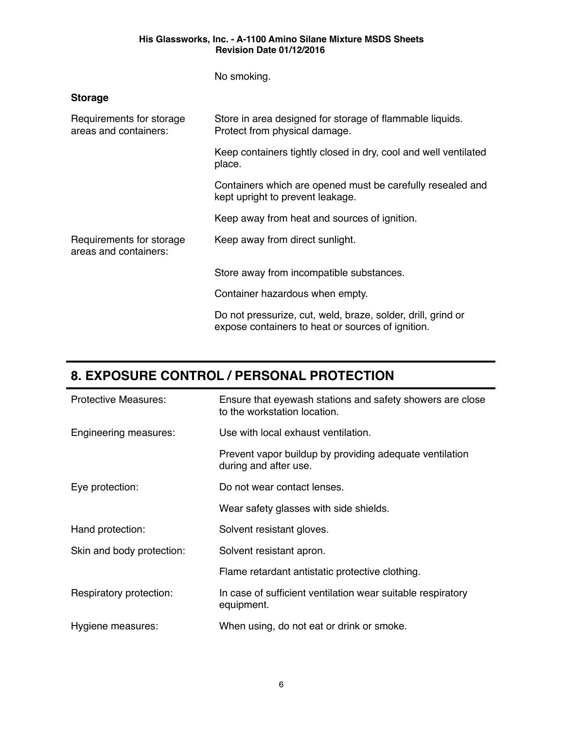No smoking.

### **Storage**

| Requirements for storage<br>areas and containers: | Store in area designed for storage of flammable liquids.<br>Protect from physical damage.                         |  |
|---------------------------------------------------|-------------------------------------------------------------------------------------------------------------------|--|
|                                                   | Keep containers tightly closed in dry, cool and well ventilated<br>place.                                         |  |
|                                                   | Containers which are opened must be carefully resealed and<br>kept upright to prevent leakage.                    |  |
|                                                   | Keep away from heat and sources of ignition.                                                                      |  |
| Requirements for storage<br>areas and containers: | Keep away from direct sunlight.                                                                                   |  |
|                                                   | Store away from incompatible substances.                                                                          |  |
|                                                   | Container hazardous when empty.                                                                                   |  |
|                                                   | Do not pressurize, cut, weld, braze, solder, drill, grind or<br>expose containers to heat or sources of ignition. |  |

## **8. EXPOSURE CONTROL / PERSONAL PROTECTION**

| <b>Protective Measures:</b> | Ensure that eyewash stations and safety showers are close<br>to the workstation location. |
|-----------------------------|-------------------------------------------------------------------------------------------|
| Engineering measures:       | Use with local exhaust ventilation.                                                       |
|                             | Prevent vapor buildup by providing adequate ventilation<br>during and after use.          |
| Eye protection:             | Do not wear contact lenses.                                                               |
|                             | Wear safety glasses with side shields.                                                    |
| Hand protection:            | Solvent resistant gloves.                                                                 |
| Skin and body protection:   | Solvent resistant apron.                                                                  |
|                             | Flame retardant antistatic protective clothing.                                           |
| Respiratory protection:     | In case of sufficient ventilation wear suitable respiratory<br>equipment.                 |
| Hygiene measures:           | When using, do not eat or drink or smoke.                                                 |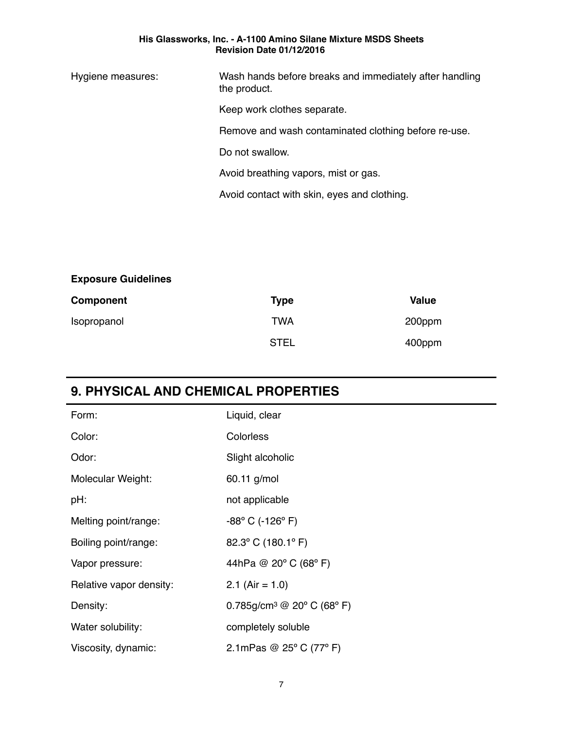Hygiene measures: Wash hands before breaks and immediately after handling the product.

Keep work clothes separate.

Remove and wash contaminated clothing before re-use.

Do not swallow.

Avoid breathing vapors, mist or gas.

Avoid contact with skin, eyes and clothing.

### **Exposure Guidelines**

| Component   | Type        | Value  |
|-------------|-------------|--------|
| Isopropanol | TWA         | 200ppm |
|             | <b>STEL</b> | 400ppm |

## **9. PHYSICAL AND CHEMICAL PROPERTIES**

| Form:                   | Liquid, clear                                       |
|-------------------------|-----------------------------------------------------|
| Color:                  | <b>Colorless</b>                                    |
| Odor:                   | Slight alcoholic                                    |
| Molecular Weight:       | 60.11 g/mol                                         |
| pH:                     | not applicable                                      |
| Melting point/range:    | $-88^{\circ}$ C (-126 $^{\circ}$ F)                 |
| Boiling point/range:    | 82.3° C (180.1° F)                                  |
| Vapor pressure:         | 44hPa @ 20° C (68° F)                               |
| Relative vapor density: | 2.1 (Air = $1.0$ )                                  |
| Density:                | 0.785g/cm <sup>3</sup> @ 20° C (68° F)              |
| Water solubility:       | completely soluble                                  |
| Viscosity, dynamic:     | 2.1 mPas $\circledcirc$ 25 $\circ$ C (77 $\circ$ F) |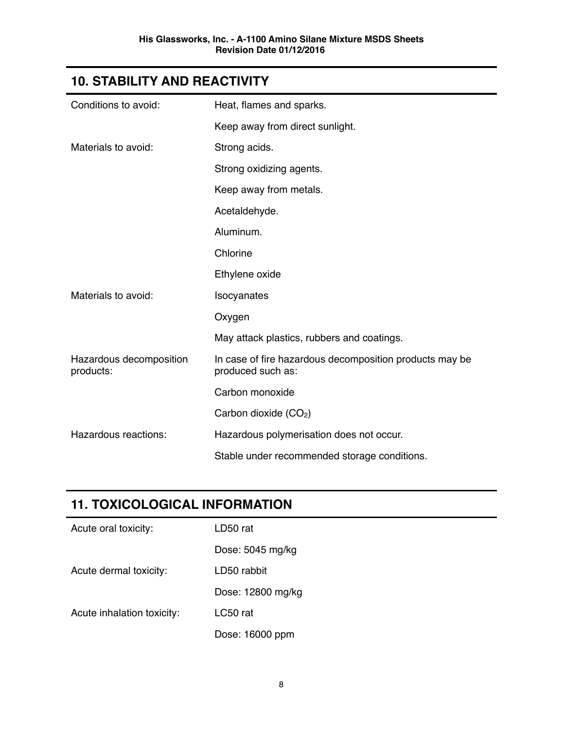# **10. STABILITY AND REACTIVITY**

| Conditions to avoid:                 | Heat, flames and sparks.                                                     |
|--------------------------------------|------------------------------------------------------------------------------|
|                                      | Keep away from direct sunlight.                                              |
| Materials to avoid:                  | Strong acids.                                                                |
|                                      | Strong oxidizing agents.                                                     |
|                                      | Keep away from metals.                                                       |
|                                      | Acetaldehyde.                                                                |
|                                      | Aluminum.                                                                    |
|                                      | Chlorine                                                                     |
|                                      | Ethylene oxide                                                               |
| Materials to avoid:                  | Isocyanates                                                                  |
|                                      | Oxygen                                                                       |
|                                      | May attack plastics, rubbers and coatings.                                   |
| Hazardous decomposition<br>products: | In case of fire hazardous decomposition products may be<br>produced such as: |
|                                      | Carbon monoxide                                                              |
|                                      | Carbon dioxide (CO <sub>2</sub> )                                            |
| Hazardous reactions:                 | Hazardous polymerisation does not occur.                                     |
|                                      | Stable under recommended storage conditions.                                 |

# **11. TOXICOLOGICAL INFORMATION**

| Acute oral toxicity:       | LD50 rat          |
|----------------------------|-------------------|
|                            | Dose: 5045 mg/kg  |
| Acute dermal toxicity:     | LD50 rabbit       |
|                            | Dose: 12800 mg/kg |
| Acute inhalation toxicity: | LC50 rat          |
|                            | Dose: 16000 ppm   |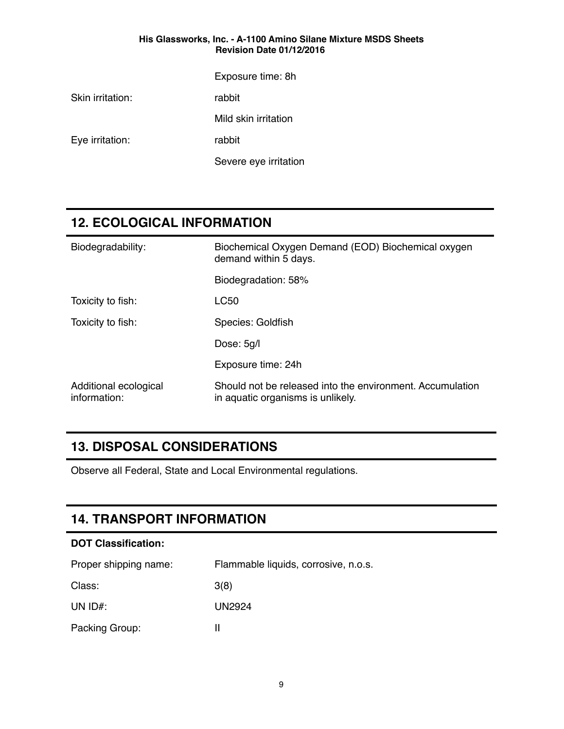Exposure time: 8h

Skin irritation: rabbit

Mild skin irritation

Eye irritation: The rabbit

Severe eye irritation

### **12. ECOLOGICAL INFORMATION**

| Biodegradability:                     | Biochemical Oxygen Demand (EOD) Biochemical oxygen<br>demand within 5 days.                    |  |
|---------------------------------------|------------------------------------------------------------------------------------------------|--|
|                                       | Biodegradation: 58%                                                                            |  |
| Toxicity to fish:                     | <b>LC50</b>                                                                                    |  |
| Toxicity to fish:                     | Species: Goldfish                                                                              |  |
|                                       | Dose: 5g/l                                                                                     |  |
|                                       | Exposure time: 24h                                                                             |  |
| Additional ecological<br>information: | Should not be released into the environment. Accumulation<br>in aquatic organisms is unlikely. |  |

## **13. DISPOSAL CONSIDERATIONS**

Observe all Federal, State and Local Environmental regulations.

### **14. TRANSPORT INFORMATION**

| <b>DOT Classification:</b> |                                      |  |  |  |
|----------------------------|--------------------------------------|--|--|--|
| Proper shipping name:      | Flammable liquids, corrosive, n.o.s. |  |  |  |
| Class:                     | 3(8)                                 |  |  |  |
| UN $ID#$ :                 | UN2924                               |  |  |  |
| Packing Group:             | Ш                                    |  |  |  |